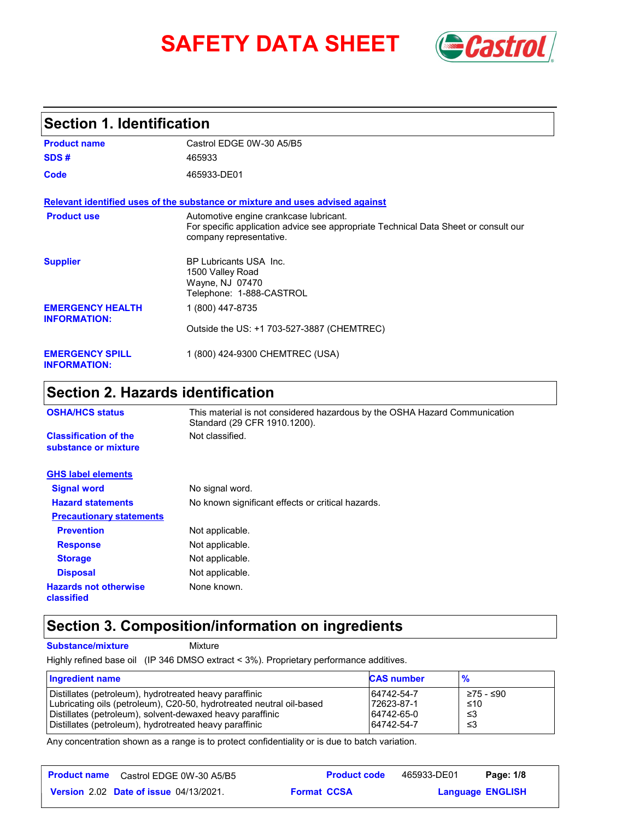# **SAFETY DATA SHEET** *Castrol*



### **Section 1. Identification**

| <b>Product name</b>                            | Castrol EDGE 0W-30 A5/B5                                                                                                                                 |
|------------------------------------------------|----------------------------------------------------------------------------------------------------------------------------------------------------------|
| SDS#                                           | 465933                                                                                                                                                   |
| Code                                           | 465933-DE01                                                                                                                                              |
|                                                | Relevant identified uses of the substance or mixture and uses advised against                                                                            |
| <b>Product use</b>                             | Automotive engine crankcase lubricant.<br>For specific application advice see appropriate Technical Data Sheet or consult our<br>company representative. |
| <b>Supplier</b>                                | BP Lubricants USA Inc.<br>1500 Valley Road<br>Wayne, NJ 07470<br>Telephone: 1-888-CASTROL                                                                |
| <b>EMERGENCY HEALTH</b><br><b>INFORMATION:</b> | 1 (800) 447-8735                                                                                                                                         |
|                                                | Outside the US: +1 703-527-3887 (CHEMTREC)                                                                                                               |
| <b>EMERGENCY SPILL</b><br><b>INFORMATION:</b>  | 1 (800) 424-9300 CHEMTREC (USA)                                                                                                                          |

## **Section 2. Hazards identification**

| <b>OSHA/HCS status</b>                               | This material is not considered hazardous by the OSHA Hazard Communication<br>Standard (29 CFR 1910.1200). |
|------------------------------------------------------|------------------------------------------------------------------------------------------------------------|
| <b>Classification of the</b><br>substance or mixture | Not classified.                                                                                            |
| <b>GHS label elements</b>                            |                                                                                                            |
| <b>Signal word</b>                                   | No signal word.                                                                                            |
| <b>Hazard statements</b>                             | No known significant effects or critical hazards.                                                          |
| <b>Precautionary statements</b>                      |                                                                                                            |
| <b>Prevention</b>                                    | Not applicable.                                                                                            |
| <b>Response</b>                                      | Not applicable.                                                                                            |
| <b>Storage</b>                                       | Not applicable.                                                                                            |
| <b>Disposal</b>                                      | Not applicable.                                                                                            |
| <b>Hazards not otherwise</b><br>classified           | None known.                                                                                                |

## **Section 3. Composition/information on ingredients**

**Substance/mixture Mixture** 

Highly refined base oil (IP 346 DMSO extract < 3%). Proprietary performance additives.

| <b>Ingredient name</b>                                               | <b>CAS number</b> | $\frac{9}{6}$ |
|----------------------------------------------------------------------|-------------------|---------------|
| Distillates (petroleum), hydrotreated heavy paraffinic               | 64742-54-7        | ≥75 - ≤90     |
| Lubricating oils (petroleum), C20-50, hydrotreated neutral oil-based | 72623-87-1        | ≤10           |
| Distillates (petroleum), solvent-dewaxed heavy paraffinic            | 64742-65-0        | -≤3           |
| Distillates (petroleum), hydrotreated heavy paraffinic               | 64742-54-7        | ו≥ ≤          |

Any concentration shown as a range is to protect confidentiality or is due to batch variation.

| <b>Product name</b> Castrol EDGE 0W-30 A5/B5  |                    | <b>Product code</b> | 465933-DE01 | Page: 1/8               |  |
|-----------------------------------------------|--------------------|---------------------|-------------|-------------------------|--|
| <b>Version 2.02 Date of issue 04/13/2021.</b> | <b>Format CCSA</b> |                     |             | <b>Language ENGLISH</b> |  |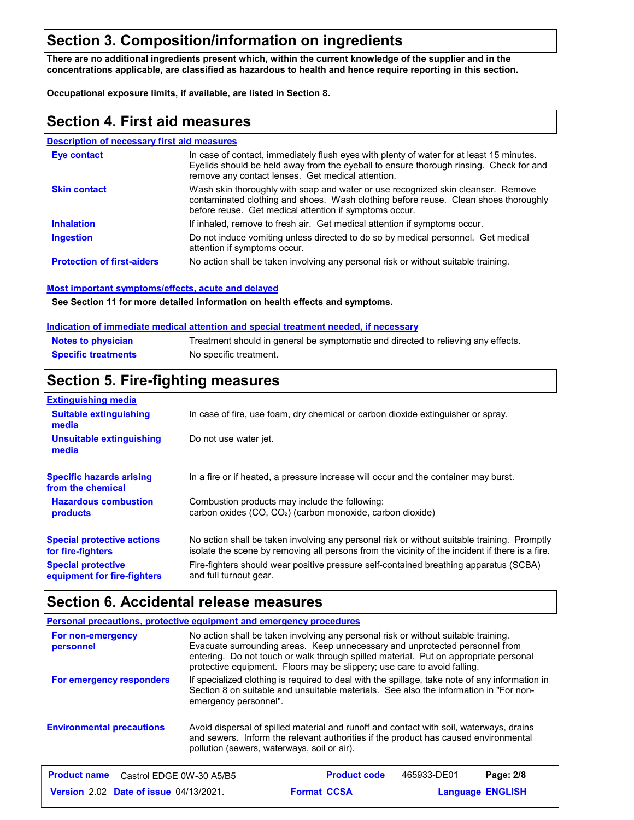## **Section 3. Composition/information on ingredients**

**There are no additional ingredients present which, within the current knowledge of the supplier and in the concentrations applicable, are classified as hazardous to health and hence require reporting in this section.**

**Occupational exposure limits, if available, are listed in Section 8.**

#### **Section 4. First aid measures**

#### **Description of necessary first aid measures**

| <b>Eve contact</b>                | In case of contact, immediately flush eyes with plenty of water for at least 15 minutes.<br>Eyelids should be held away from the eyeball to ensure thorough rinsing. Check for and<br>remove any contact lenses. Get medical attention. |
|-----------------------------------|-----------------------------------------------------------------------------------------------------------------------------------------------------------------------------------------------------------------------------------------|
| <b>Skin contact</b>               | Wash skin thoroughly with soap and water or use recognized skin cleanser. Remove<br>contaminated clothing and shoes. Wash clothing before reuse. Clean shoes thoroughly<br>before reuse. Get medical attention if symptoms occur.       |
| <b>Inhalation</b>                 | If inhaled, remove to fresh air. Get medical attention if symptoms occur.                                                                                                                                                               |
| <b>Ingestion</b>                  | Do not induce vomiting unless directed to do so by medical personnel. Get medical<br>attention if symptoms occur.                                                                                                                       |
| <b>Protection of first-aiders</b> | No action shall be taken involving any personal risk or without suitable training.                                                                                                                                                      |

#### **Most important symptoms/effects, acute and delayed**

**See Section 11 for more detailed information on health effects and symptoms.**

#### **Indication of immediate medical attention and special treatment needed, if necessary**

| <b>Notes to physician</b>  | Treatment should in general be symptomatic and directed to relieving any effects. |
|----------------------------|-----------------------------------------------------------------------------------|
| <b>Specific treatments</b> | No specific treatment.                                                            |

#### **Section 5. Fire-fighting measures**

| <b>Extinguishing media</b>                               |                                                                                                                                                                                                |
|----------------------------------------------------------|------------------------------------------------------------------------------------------------------------------------------------------------------------------------------------------------|
| <b>Suitable extinguishing</b><br>media                   | In case of fire, use foam, dry chemical or carbon dioxide extinguisher or spray.                                                                                                               |
| Unsuitable extinguishing<br>media                        | Do not use water jet.                                                                                                                                                                          |
| <b>Specific hazards arising</b><br>from the chemical     | In a fire or if heated, a pressure increase will occur and the container may burst.                                                                                                            |
| <b>Hazardous combustion</b><br>products                  | Combustion products may include the following:<br>carbon oxides $(CO, CO2)$ (carbon monoxide, carbon dioxide)                                                                                  |
| <b>Special protective actions</b><br>for fire-fighters   | No action shall be taken involving any personal risk or without suitable training. Promptly<br>isolate the scene by removing all persons from the vicinity of the incident if there is a fire. |
| <b>Special protective</b><br>equipment for fire-fighters | Fire-fighters should wear positive pressure self-contained breathing apparatus (SCBA)<br>and full turnout gear.                                                                                |

#### **Section 6. Accidental release measures**

|                                                                                                                                                                                                                                                                   | Personal precautions, protective equipment and emergency procedures                                                                                                                                                                                                                                                                   |
|-------------------------------------------------------------------------------------------------------------------------------------------------------------------------------------------------------------------------------------------------------------------|---------------------------------------------------------------------------------------------------------------------------------------------------------------------------------------------------------------------------------------------------------------------------------------------------------------------------------------|
| For non-emergency<br>personnel                                                                                                                                                                                                                                    | No action shall be taken involving any personal risk or without suitable training.<br>Evacuate surrounding areas. Keep unnecessary and unprotected personnel from<br>entering. Do not touch or walk through spilled material. Put on appropriate personal<br>protective equipment. Floors may be slippery; use care to avoid falling. |
| For emergency responders                                                                                                                                                                                                                                          | If specialized clothing is required to deal with the spillage, take note of any information in<br>Section 8 on suitable and unsuitable materials. See also the information in "For non-<br>emergency personnel".                                                                                                                      |
| <b>Environmental precautions</b><br>Avoid dispersal of spilled material and runoff and contact with soil, waterways, drains<br>and sewers. Inform the relevant authorities if the product has caused environmental<br>pollution (sewers, waterways, soil or air). |                                                                                                                                                                                                                                                                                                                                       |
| <b>Product name</b><br>Castrol EDGE 0W-30 A5/B5                                                                                                                                                                                                                   | <b>Product code</b><br>465933-DE01<br>Page: 2/8                                                                                                                                                                                                                                                                                       |

**Date of issue** 04/13/2021. **Example 2.02 Format CCSA Language ENGLIS Language ENGLISH Format CCSA**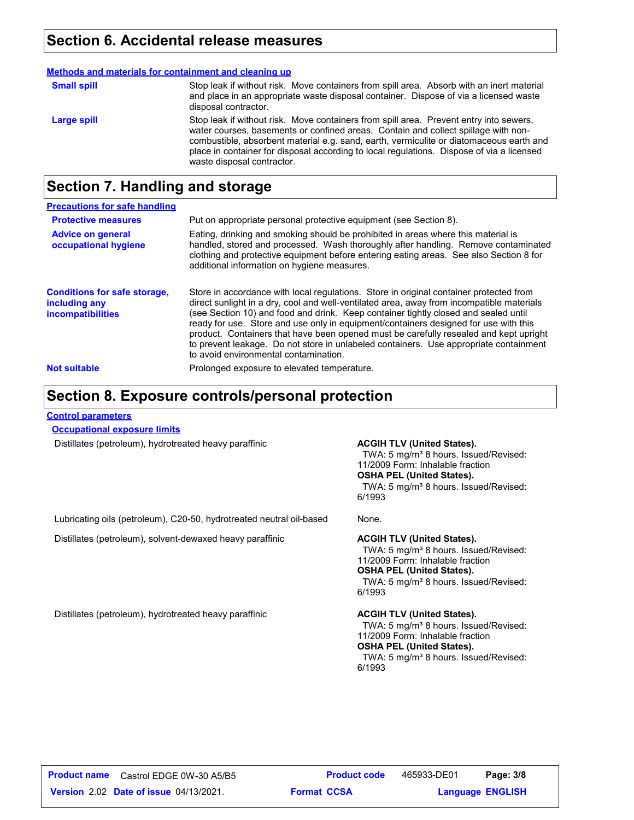### **Section 6. Accidental release measures**

|                    | Methods and materials for containment and cleaning up                                                                                                                                                                                                                                                                                                                                              |
|--------------------|----------------------------------------------------------------------------------------------------------------------------------------------------------------------------------------------------------------------------------------------------------------------------------------------------------------------------------------------------------------------------------------------------|
| <b>Small spill</b> | Stop leak if without risk. Move containers from spill area. Absorb with an inert material<br>and place in an appropriate waste disposal container. Dispose of via a licensed waste<br>disposal contractor.                                                                                                                                                                                         |
| Large spill        | Stop leak if without risk. Move containers from spill area. Prevent entry into sewers,<br>water courses, basements or confined areas. Contain and collect spillage with non-<br>combustible, absorbent material e.g. sand, earth, vermiculite or diatomaceous earth and<br>place in container for disposal according to local regulations. Dispose of via a licensed<br>waste disposal contractor. |

## **Section 7. Handling and storage**

| <b>Precautions for safe handling</b>                                             |                                                                                                                                                                                                                                                                                                                                                                                                                                                                                                                                                                                               |
|----------------------------------------------------------------------------------|-----------------------------------------------------------------------------------------------------------------------------------------------------------------------------------------------------------------------------------------------------------------------------------------------------------------------------------------------------------------------------------------------------------------------------------------------------------------------------------------------------------------------------------------------------------------------------------------------|
| <b>Protective measures</b>                                                       | Put on appropriate personal protective equipment (see Section 8).                                                                                                                                                                                                                                                                                                                                                                                                                                                                                                                             |
| <b>Advice on general</b><br>occupational hygiene                                 | Eating, drinking and smoking should be prohibited in areas where this material is<br>handled, stored and processed. Wash thoroughly after handling. Remove contaminated<br>clothing and protective equipment before entering eating areas. See also Section 8 for<br>additional information on hygiene measures.                                                                                                                                                                                                                                                                              |
| <b>Conditions for safe storage,</b><br>including any<br><i>incompatibilities</i> | Store in accordance with local regulations. Store in original container protected from<br>direct sunlight in a dry, cool and well-ventilated area, away from incompatible materials<br>(see Section 10) and food and drink. Keep container tightly closed and sealed until<br>ready for use. Store and use only in equipment/containers designed for use with this<br>product. Containers that have been opened must be carefully resealed and kept upright<br>to prevent leakage. Do not store in unlabeled containers. Use appropriate containment<br>to avoid environmental contamination. |
| <b>Not suitable</b>                                                              | Prolonged exposure to elevated temperature.                                                                                                                                                                                                                                                                                                                                                                                                                                                                                                                                                   |

### **Section 8. Exposure controls/personal protection**

#### **Control parameters**

**Occupational exposure limits**

Distillates (petroleum), hydrotreated heavy paraffinic **ACGIH TLV (United States).** 

TWA: 5 mg/m<sup>3</sup> 8 hours. Issued/Revised: 11/2009 Form: Inhalable fraction **OSHA PEL (United States).** TWA: 5 mg/m<sup>3</sup> 8 hours. Issued/Revised: 6/1993

Lubricating oils (petroleum), C20-50, hydrotreated neutral oil-based None.

Distillates (petroleum), solvent-dewaxed heavy paraffinic **ACGIH TLV (United States).**

TWA: 5 mg/m<sup>3</sup> 8 hours. Issued/Revised: 11/2009 Form: Inhalable fraction **OSHA PEL (United States).** TWA: 5 mg/m<sup>3</sup> 8 hours. Issued/Revised: 6/1993

Distillates (petroleum), hydrotreated heavy paraffinic **ACGIH TLV (United States).**

TWA: 5 mg/m<sup>3</sup> 8 hours. Issued/Revised: 11/2009 Form: Inhalable fraction **OSHA PEL (United States).** TWA: 5 mg/m<sup>3</sup> 8 hours. Issued/Revised: 6/1993

**Date of issue** 04/13/2021. **Example 2.02 Format CCSA Language ENGLIS Product name** Castrol EDGE 0W-30 A5/B5 **Product code** 465933-DE01 **Page: 3/8 Language ENGLISH** 465933-DE01 Page: 3/8 **Format CCSA**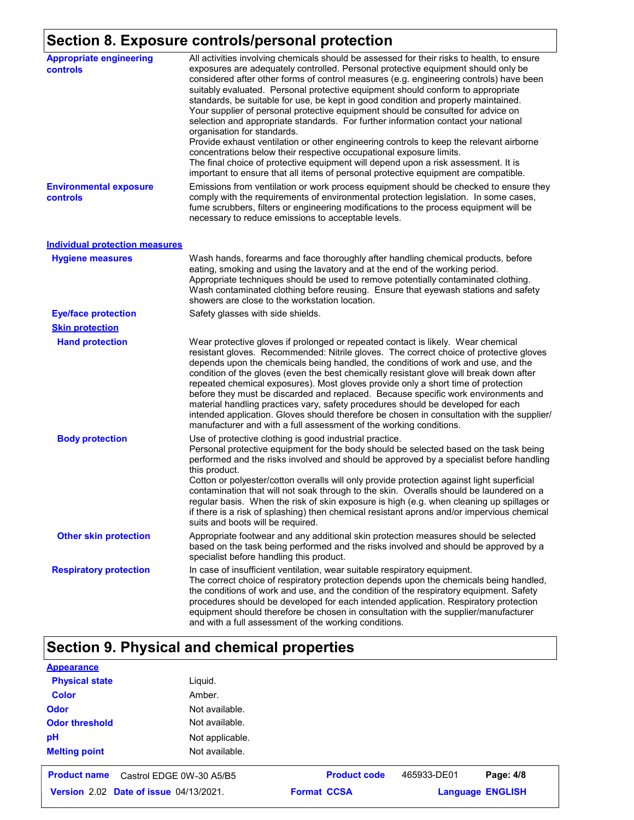## **Section 8. Exposure controls/personal protection**

| <b>Appropriate engineering</b><br>controls | All activities involving chemicals should be assessed for their risks to health, to ensure<br>exposures are adequately controlled. Personal protective equipment should only be<br>considered after other forms of control measures (e.g. engineering controls) have been<br>suitably evaluated. Personal protective equipment should conform to appropriate<br>standards, be suitable for use, be kept in good condition and properly maintained.<br>Your supplier of personal protective equipment should be consulted for advice on<br>selection and appropriate standards. For further information contact your national<br>organisation for standards.<br>Provide exhaust ventilation or other engineering controls to keep the relevant airborne<br>concentrations below their respective occupational exposure limits.<br>The final choice of protective equipment will depend upon a risk assessment. It is<br>important to ensure that all items of personal protective equipment are compatible. |
|--------------------------------------------|------------------------------------------------------------------------------------------------------------------------------------------------------------------------------------------------------------------------------------------------------------------------------------------------------------------------------------------------------------------------------------------------------------------------------------------------------------------------------------------------------------------------------------------------------------------------------------------------------------------------------------------------------------------------------------------------------------------------------------------------------------------------------------------------------------------------------------------------------------------------------------------------------------------------------------------------------------------------------------------------------------|
| <b>Environmental exposure</b><br>controls  | Emissions from ventilation or work process equipment should be checked to ensure they<br>comply with the requirements of environmental protection legislation. In some cases,<br>fume scrubbers, filters or engineering modifications to the process equipment will be<br>necessary to reduce emissions to acceptable levels.                                                                                                                                                                                                                                                                                                                                                                                                                                                                                                                                                                                                                                                                              |
| <b>Individual protection measures</b>      |                                                                                                                                                                                                                                                                                                                                                                                                                                                                                                                                                                                                                                                                                                                                                                                                                                                                                                                                                                                                            |
| <b>Hygiene measures</b>                    | Wash hands, forearms and face thoroughly after handling chemical products, before<br>eating, smoking and using the lavatory and at the end of the working period.<br>Appropriate techniques should be used to remove potentially contaminated clothing.<br>Wash contaminated clothing before reusing. Ensure that eyewash stations and safety<br>showers are close to the workstation location.                                                                                                                                                                                                                                                                                                                                                                                                                                                                                                                                                                                                            |
| <b>Eye/face protection</b>                 | Safety glasses with side shields.                                                                                                                                                                                                                                                                                                                                                                                                                                                                                                                                                                                                                                                                                                                                                                                                                                                                                                                                                                          |
| <b>Skin protection</b>                     |                                                                                                                                                                                                                                                                                                                                                                                                                                                                                                                                                                                                                                                                                                                                                                                                                                                                                                                                                                                                            |
| <b>Hand protection</b>                     | Wear protective gloves if prolonged or repeated contact is likely. Wear chemical<br>resistant gloves. Recommended: Nitrile gloves. The correct choice of protective gloves<br>depends upon the chemicals being handled, the conditions of work and use, and the<br>condition of the gloves (even the best chemically resistant glove will break down after<br>repeated chemical exposures). Most gloves provide only a short time of protection<br>before they must be discarded and replaced. Because specific work environments and<br>material handling practices vary, safety procedures should be developed for each<br>intended application. Gloves should therefore be chosen in consultation with the supplier/<br>manufacturer and with a full assessment of the working conditions.                                                                                                                                                                                                              |
| <b>Body protection</b>                     | Use of protective clothing is good industrial practice.<br>Personal protective equipment for the body should be selected based on the task being<br>performed and the risks involved and should be approved by a specialist before handling<br>this product.<br>Cotton or polyester/cotton overalls will only provide protection against light superficial<br>contamination that will not soak through to the skin. Overalls should be laundered on a<br>regular basis. When the risk of skin exposure is high (e.g. when cleaning up spillages or<br>if there is a risk of splashing) then chemical resistant aprons and/or impervious chemical<br>suits and boots will be required.                                                                                                                                                                                                                                                                                                                      |
| <b>Other skin protection</b>               | Appropriate footwear and any additional skin protection measures should be selected<br>based on the task being performed and the risks involved and should be approved by a<br>specialist before handling this product.                                                                                                                                                                                                                                                                                                                                                                                                                                                                                                                                                                                                                                                                                                                                                                                    |
| <b>Respiratory protection</b>              | In case of insufficient ventilation, wear suitable respiratory equipment.<br>The correct choice of respiratory protection depends upon the chemicals being handled,<br>the conditions of work and use, and the condition of the respiratory equipment. Safety<br>procedures should be developed for each intended application. Respiratory protection<br>equipment should therefore be chosen in consultation with the supplier/manufacturer<br>and with a full assessment of the working conditions.                                                                                                                                                                                                                                                                                                                                                                                                                                                                                                      |

## **Section 9. Physical and chemical properties**

| <b>Appearance</b>                             |                          |                     |                         |           |
|-----------------------------------------------|--------------------------|---------------------|-------------------------|-----------|
| <b>Physical state</b>                         | Liquid.                  |                     |                         |           |
| <b>Color</b>                                  | Amber.                   |                     |                         |           |
| <b>Odor</b>                                   | Not available.           |                     |                         |           |
| <b>Odor threshold</b>                         | Not available.           |                     |                         |           |
| рH                                            | Not applicable.          |                     |                         |           |
| <b>Melting point</b>                          | Not available.           |                     |                         |           |
| <b>Product name</b>                           | Castrol EDGE 0W-30 A5/B5 | <b>Product code</b> | 465933-DE01             | Page: 4/8 |
| <b>Version 2.02 Date of issue 04/13/2021.</b> |                          | <b>Format CCSA</b>  | <b>Language ENGLISH</b> |           |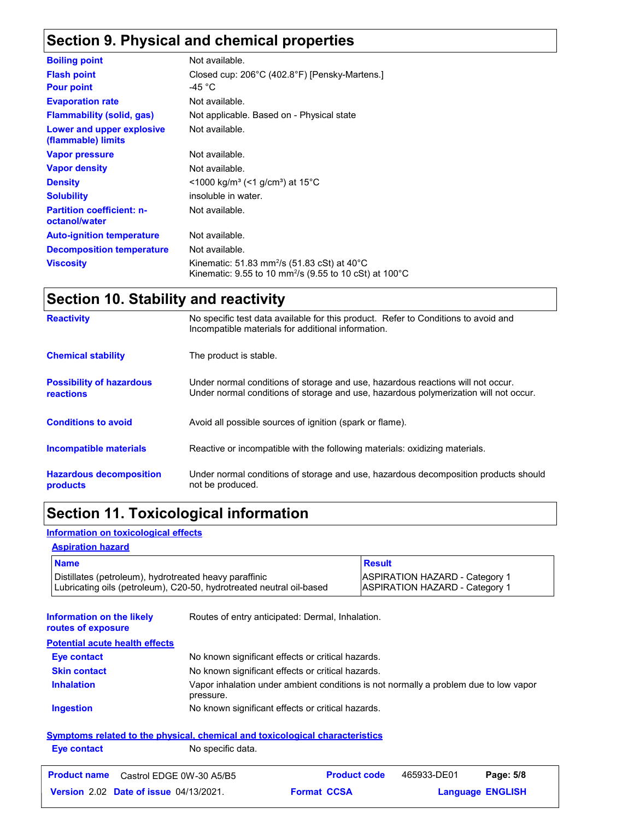## **Section 9. Physical and chemical properties**

| <b>Boiling point</b>                              | Not available.                                                                                                                            |
|---------------------------------------------------|-------------------------------------------------------------------------------------------------------------------------------------------|
| <b>Flash point</b>                                | Closed cup: 206°C (402.8°F) [Pensky-Martens.]                                                                                             |
| <b>Pour point</b>                                 | -45 °C                                                                                                                                    |
| <b>Evaporation rate</b>                           | Not available.                                                                                                                            |
| <b>Flammability (solid, gas)</b>                  | Not applicable. Based on - Physical state                                                                                                 |
| Lower and upper explosive<br>(flammable) limits   | Not available.                                                                                                                            |
| <b>Vapor pressure</b>                             | Not available.                                                                                                                            |
| <b>Vapor density</b>                              | Not available.                                                                                                                            |
| <b>Density</b>                                    | $\leq$ 1000 kg/m <sup>3</sup> (<1 g/cm <sup>3</sup> ) at 15 <sup>°</sup> C                                                                |
| <b>Solubility</b>                                 | insoluble in water.                                                                                                                       |
| <b>Partition coefficient: n-</b><br>octanol/water | Not available.                                                                                                                            |
| <b>Auto-ignition temperature</b>                  | Not available.                                                                                                                            |
| <b>Decomposition temperature</b>                  | Not available.                                                                                                                            |
| <b>Viscosity</b>                                  | Kinematic: 51.83 mm <sup>2</sup> /s (51.83 cSt) at 40 $^{\circ}$ C<br>Kinematic: 9.55 to 10 mm <sup>2</sup> /s (9.55 to 10 cSt) at 100 °C |

## **Section 10. Stability and reactivity**

| <b>Reactivity</b>                                   | No specific test data available for this product. Refer to Conditions to avoid and<br>Incompatible materials for additional information.                                |
|-----------------------------------------------------|-------------------------------------------------------------------------------------------------------------------------------------------------------------------------|
| <b>Chemical stability</b>                           | The product is stable.                                                                                                                                                  |
| <b>Possibility of hazardous</b><br><b>reactions</b> | Under normal conditions of storage and use, hazardous reactions will not occur.<br>Under normal conditions of storage and use, hazardous polymerization will not occur. |
| <b>Conditions to avoid</b>                          | Avoid all possible sources of ignition (spark or flame).                                                                                                                |
| Incompatible materials                              | Reactive or incompatible with the following materials: oxidizing materials.                                                                                             |
| <b>Hazardous decomposition</b><br>products          | Under normal conditions of storage and use, hazardous decomposition products should<br>not be produced.                                                                 |

## **Section 11. Toxicological information**

#### **Information on toxicological effects**

#### **Aspiration hazard**

| <b>Name</b>                                                                                                                    | <b>Result</b>                                                                  |
|--------------------------------------------------------------------------------------------------------------------------------|--------------------------------------------------------------------------------|
| Distillates (petroleum), hydrotreated heavy paraffinic<br>Lubricating oils (petroleum), C20-50, hydrotreated neutral oil-based | <b>ASPIRATION HAZARD - Category 1</b><br><b>ASPIRATION HAZARD - Category 1</b> |

| Information on the likely<br>routes of exposure | Routes of entry anticipated: Dermal, Inhalation.                                                  |  |  |
|-------------------------------------------------|---------------------------------------------------------------------------------------------------|--|--|
| <b>Potential acute health effects</b>           |                                                                                                   |  |  |
| <b>Eye contact</b>                              | No known significant effects or critical hazards.                                                 |  |  |
| <b>Skin contact</b>                             | No known significant effects or critical hazards.                                                 |  |  |
| <b>Inhalation</b>                               | Vapor inhalation under ambient conditions is not normally a problem due to low vapor<br>pressure. |  |  |
| <b>Ingestion</b>                                | No known significant effects or critical hazards.                                                 |  |  |
|                                                 |                                                                                                   |  |  |

#### **Symptoms related to the physical, chemical and toxicological characteristics Eye contact** No specific data.

| <b>Product name</b> Castrol EDGE 0W-30 A5/B5  | <b>Product code</b> | 465933-DE01             | Page: 5/8 |
|-----------------------------------------------|---------------------|-------------------------|-----------|
| <b>Version 2.02 Date of issue 04/13/2021.</b> | <b>Format CCSA</b>  | <b>Language ENGLISH</b> |           |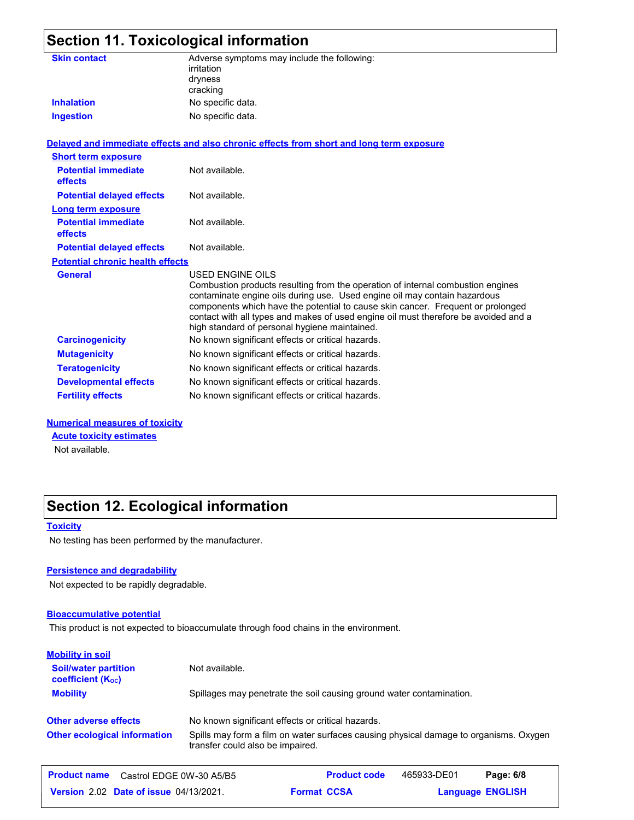| <b>Section 11. Toxicological information</b> |                                                                                                                                                                                                                                                                                                                                                                                                             |  |  |
|----------------------------------------------|-------------------------------------------------------------------------------------------------------------------------------------------------------------------------------------------------------------------------------------------------------------------------------------------------------------------------------------------------------------------------------------------------------------|--|--|
| <b>Skin contact</b><br><b>Inhalation</b>     | Adverse symptoms may include the following:<br>irritation<br>dryness<br>cracking<br>No specific data.                                                                                                                                                                                                                                                                                                       |  |  |
| <b>Ingestion</b>                             | No specific data.                                                                                                                                                                                                                                                                                                                                                                                           |  |  |
|                                              |                                                                                                                                                                                                                                                                                                                                                                                                             |  |  |
|                                              | Delayed and immediate effects and also chronic effects from short and long term exposure                                                                                                                                                                                                                                                                                                                    |  |  |
| <b>Short term exposure</b>                   |                                                                                                                                                                                                                                                                                                                                                                                                             |  |  |
| <b>Potential immediate</b><br><b>effects</b> | Not available.                                                                                                                                                                                                                                                                                                                                                                                              |  |  |
| <b>Potential delayed effects</b>             | Not available.                                                                                                                                                                                                                                                                                                                                                                                              |  |  |
| Long term exposure                           |                                                                                                                                                                                                                                                                                                                                                                                                             |  |  |
| <b>Potential immediate</b><br>effects        | Not available.                                                                                                                                                                                                                                                                                                                                                                                              |  |  |
| <b>Potential delayed effects</b>             | Not available.                                                                                                                                                                                                                                                                                                                                                                                              |  |  |
| <b>Potential chronic health effects</b>      |                                                                                                                                                                                                                                                                                                                                                                                                             |  |  |
| <b>General</b>                               | USED ENGINE OILS<br>Combustion products resulting from the operation of internal combustion engines<br>contaminate engine oils during use. Used engine oil may contain hazardous<br>components which have the potential to cause skin cancer. Frequent or prolonged<br>contact with all types and makes of used engine oil must therefore be avoided and a<br>high standard of personal hygiene maintained. |  |  |
| <b>Carcinogenicity</b>                       | No known significant effects or critical hazards.                                                                                                                                                                                                                                                                                                                                                           |  |  |
| <b>Mutagenicity</b>                          | No known significant effects or critical hazards.                                                                                                                                                                                                                                                                                                                                                           |  |  |
| <b>Teratogenicity</b>                        | No known significant effects or critical hazards.                                                                                                                                                                                                                                                                                                                                                           |  |  |
| <b>Developmental effects</b>                 | No known significant effects or critical hazards.                                                                                                                                                                                                                                                                                                                                                           |  |  |

#### **Numerical measures of toxicity**

**Acute toxicity estimates**

Not available.

## **Section 12. Ecological information**

#### **Toxicity**

No testing has been performed by the manufacturer.

#### **Persistence and degradability**

Not expected to be rapidly degradable.

#### **Bioaccumulative potential**

This product is not expected to bioaccumulate through food chains in the environment.

**Fertility effects** No known significant effects or critical hazards.

| <b>Mobility in soil</b>                                 |                                                                                                                           |
|---------------------------------------------------------|---------------------------------------------------------------------------------------------------------------------------|
| <b>Soil/water partition</b><br><b>coefficient (Koc)</b> | Not available.                                                                                                            |
| <b>Mobility</b>                                         | Spillages may penetrate the soil causing ground water contamination.                                                      |
| <b>Other adverse effects</b>                            | No known significant effects or critical hazards.                                                                         |
| <b>Other ecological information</b>                     | Spills may form a film on water surfaces causing physical damage to organisms. Oxygen<br>transfer could also be impaired. |
| <b>Product name</b><br>Castrol EDGE 0W-30 A5/B5         | <b>Product code</b><br>Page: 6/8<br>465933-DE01                                                                           |

**Date of issue** 04/13/2021. **Example 2.02 Format CCSA Language ENGLIS Format CCSA** 

**Language ENGLISH**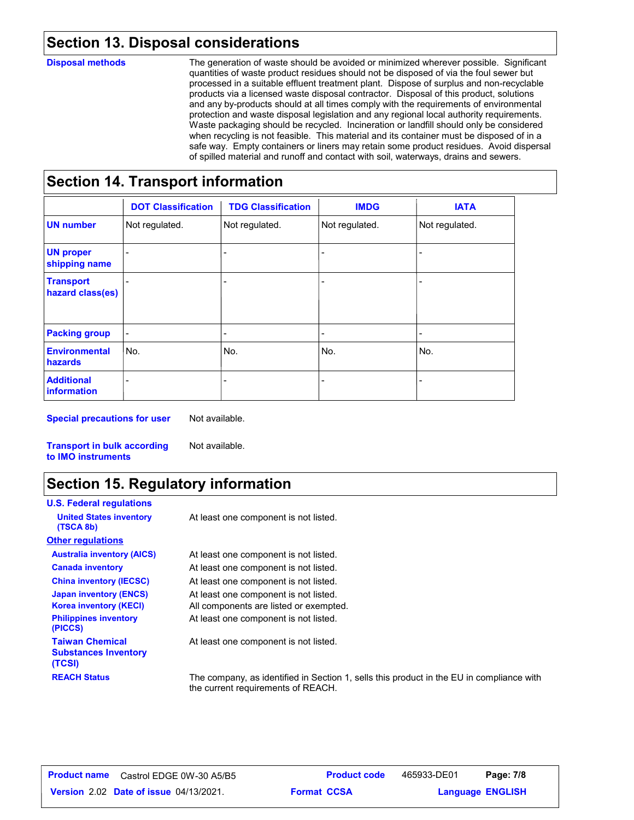## **Section 13. Disposal considerations**

#### **Disposal methods**

The generation of waste should be avoided or minimized wherever possible. Significant quantities of waste product residues should not be disposed of via the foul sewer but processed in a suitable effluent treatment plant. Dispose of surplus and non-recyclable products via a licensed waste disposal contractor. Disposal of this product, solutions and any by-products should at all times comply with the requirements of environmental protection and waste disposal legislation and any regional local authority requirements. Waste packaging should be recycled. Incineration or landfill should only be considered when recycling is not feasible. This material and its container must be disposed of in a safe way. Empty containers or liners may retain some product residues. Avoid dispersal of spilled material and runoff and contact with soil, waterways, drains and sewers.

## **Section 14. Transport information**

|                                      | <b>DOT Classification</b> | <b>TDG Classification</b> | <b>IMDG</b>    | <b>IATA</b>    |
|--------------------------------------|---------------------------|---------------------------|----------------|----------------|
| <b>UN number</b>                     | Not regulated.            | Not regulated.            | Not regulated. | Not regulated. |
| <b>UN proper</b><br>shipping name    |                           |                           |                |                |
| <b>Transport</b><br>hazard class(es) |                           |                           |                |                |
| <b>Packing group</b>                 |                           | $\overline{\phantom{0}}$  | $\blacksquare$ | ۰              |
| <b>Environmental</b><br>hazards      | No.                       | No.                       | No.            | No.            |
| <b>Additional</b><br>information     |                           |                           | -              |                |

**Special precautions for user**

Not available.

Not available.

**Transport in bulk according to IMO instruments**

## **Section 15. Regulatory information**

| <b>U.S. Federal regulations</b>                                 |                                                                                                                                |
|-----------------------------------------------------------------|--------------------------------------------------------------------------------------------------------------------------------|
| <b>United States inventory</b><br>(TSCA 8b)                     | At least one component is not listed.                                                                                          |
| <b>Other regulations</b>                                        |                                                                                                                                |
| <b>Australia inventory (AICS)</b>                               | At least one component is not listed.                                                                                          |
| <b>Canada inventory</b>                                         | At least one component is not listed.                                                                                          |
| <b>China inventory (IECSC)</b>                                  | At least one component is not listed.                                                                                          |
| <b>Japan inventory (ENCS)</b>                                   | At least one component is not listed.                                                                                          |
| <b>Korea inventory (KECI)</b>                                   | All components are listed or exempted.                                                                                         |
| <b>Philippines inventory</b><br>(PICCS)                         | At least one component is not listed.                                                                                          |
| <b>Taiwan Chemical</b><br><b>Substances Inventory</b><br>(TCSI) | At least one component is not listed.                                                                                          |
| <b>REACH Status</b>                                             | The company, as identified in Section 1, sells this product in the EU in compliance with<br>the current requirements of REACH. |